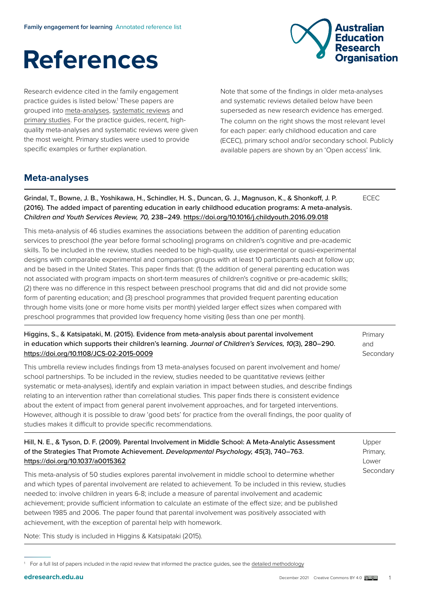

# **References**

Research evidence cited in the family engagement practice guides is listed below.<sup>1</sup> These papers are grouped into [meta-analyses](https://www.edresearch.edu.au/evidence/key-concepts-explained), [systematic reviews](https://www.edresearch.edu.au/evidence/key-concepts-explained) and [primary studies.](https://www.edresearch.edu.au/about-evidence/key-concepts-explained#accordion-1592) For the practice guides, recent, highquality meta-analyses and systematic reviews were given the most weight. Primary studies were used to provide specific examples or further explanation.

Note that some of the findings in older meta-analyses and systematic reviews detailed below have been superseded as new research evidence has emerged. The column on the right shows the most relevant level for each paper: early childhood education and care (ECEC), primary school and/or secondary school. Publicly available papers are shown by an 'Open access' link.

# **Meta-analyses**

Grindal, T., Bowne, J. B., Yoshikawa, H., Schindler, H. S., Duncan, G. J., Magnuson, K., & Shonkoff, J. P. (2016). The added impact of parenting education in early childhood education programs: A meta-analysis. *Children and Youth Services Review, 70,* 238–249. <https://doi.org/10.1016/j.childyouth.2016.09.018>

This meta-analysis of 46 studies examines the associations between the addition of parenting education services to preschool (the year before formal schooling) programs on children's cognitive and pre-academic skills. To be included in the review, studies needed to be high-quality, use experimental or quasi-experimental designs with comparable experimental and comparison groups with at least 10 participants each at follow up; and be based in the United States. This paper finds that: (1) the addition of general parenting education was not associated with program impacts on short-term measures of children's cognitive or pre-academic skills; (2) there was no difference in this respect between preschool programs that did and did not provide some form of parenting education; and (3) preschool programmes that provided frequent parenting education through home visits (one or more home visits per month) yielded larger effect sizes when compared with preschool programmes that provided low frequency home visiting (less than one per month).

#### Higgins, S., & Katsipataki, M. (2015). Evidence from meta-analysis about parental involvement in education which supports their children's learning. *Journal of Children's Services, 10*(3), 280–290. <https://doi.org/10.1108/JCS-02-2015-0009>

Primary and **Secondary** 

ECEC

This umbrella review includes findings from 13 meta-analyses focused on parent involvement and home/ school partnerships. To be included in the review, studies needed to be quantitative reviews (either systematic or meta-analyses), identify and explain variation in impact between studies, and describe findings relating to an intervention rather than correlational studies. This paper finds there is consistent evidence about the extent of impact from general parent involvement approaches, and for targeted interventions. However, although it is possible to draw 'good bets' for practice from the overall findings, the poor quality of studies makes it difficult to provide specific recommendations.

## Hill, N. E., & Tyson, D. F. (2009). Parental Involvement in Middle School: A Meta-Analytic Assessment of the Strategies That Promote Achievement. *Developmental Psychology, 45*(3), 740–763. <https://doi.org/10.1037/a0015362>

Upper Primary, Lower **Secondary** 

This meta-analysis of 50 studies explores parental involvement in middle school to determine whether and which types of parental involvement are related to achievement. To be included in this review, studies needed to: involve children in years 6-8; include a measure of parental involvement and academic achievement; provide sufficient information to calculate an estimate of the effect size; and be published between 1985 and 2006. The paper found that parental involvement was positively associated with achievement, with the exception of parental help with homework.

Note: This study is included in Higgins & Katsipataki (2015).

<sup>&</sup>lt;sup>1</sup> For a full list of papers included in the rapid review that informed the practice guides, see the detailed methodology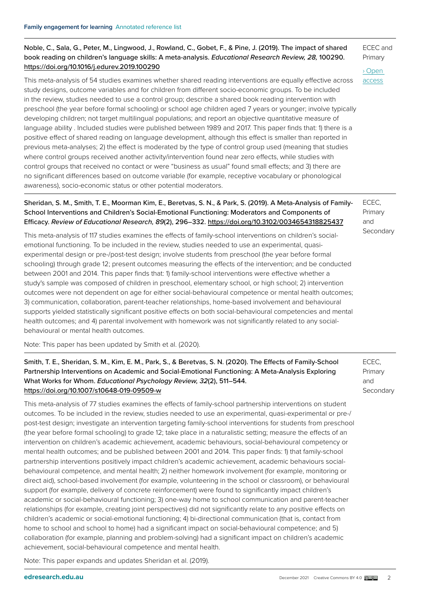#### Noble, C., Sala, G., Peter, M., Lingwood, J., Rowland, C., Gobet, F., & Pine, J. (2019). The impact of shared book reading on children's language skills: A meta-analysis. *Educational Research Review, 28,* 100290. <https://doi.org/10.1016/j.edurev.2019.100290>

This meta-analysis of 54 studies examines whether shared reading interventions are equally effective across study designs, outcome variables and for children from different socio-economic groups. To be included in the review, studies needed to use a control group; describe a shared book reading intervention with preschool (the year before formal schooling) or school age children aged 7 years or younger; involve typically developing children; not target multilingual populations; and report an objective quantitative measure of language ability . Included studies were published between 1989 and 2017. This paper finds that: 1) there is a positive effect of shared reading on language development, although this effect is smaller than reported in previous meta-analyses; 2) the effect is moderated by the type of control group used (meaning that studies where control groups received another activity/intervention found near zero effects, while studies with control groups that received no contact or were "business as usual" found small effects; and 3) there are no significant differences based on outcome variable (for example, receptive vocabulary or phonological awareness), socio-economic status or other potential moderators.

#### Sheridan, S. M., Smith, T. E., Moorman Kim, E., Beretvas, S. N., & Park, S. (2019). A Meta-Analysis of Family-School Interventions and Children's Social-Emotional Functioning: Moderators and Components of Efficacy. *Review of Educational Research, 89*(2), 296–332. <https://doi.org/10.3102/0034654318825437>

ECEC, Primary and **Secondary** 

This meta-analysis of 117 studies examines the effects of family-school interventions on children's socialemotional functioning. To be included in the review, studies needed to use an experimental, quasiexperimental design or pre-/post-test design; involve students from preschool (the year before formal schooling) through grade 12; present outcomes measuring the effects of the intervention; and be conducted between 2001 and 2014. This paper finds that: 1) family-school interventions were effective whether a study's sample was composed of children in preschool, elementary school, or high school; 2) intervention outcomes were not dependent on age for either social-behavioural competence or mental health outcomes; 3) communication, collaboration, parent-teacher relationships, home-based involvement and behavioural supports yielded statistically significant positive effects on both social-behavioural competencies and mental health outcomes; and 4) parental involvement with homework was not significantly related to any socialbehavioural or mental health outcomes.

Note: This paper has been updated by Smith et al. (2020).

#### Smith, T. E., Sheridan, S. M., Kim, E. M., Park, S., & Beretvas, S. N. (2020). The Effects of Family-School Partnership Interventions on Academic and Social-Emotional Functioning: A Meta-Analysis Exploring What Works for Whom. *Educational Psychology Review, 32*(2), 511–544. <https://doi.org/10.1007/s10648-019-09509-w>

This meta-analysis of 77 studies examines the effects of family-school partnership interventions on student outcomes. To be included in the review, studies needed to use an experimental, quasi-experimental or pre-/ post-test design; investigate an intervention targeting family-school interventions for students from preschool (the year before formal schooling) to grade 12; take place in a naturalistic setting; measure the effects of an intervention on children's academic achievement, academic behaviours, social-behavioural competency or mental health outcomes; and be published between 2001 and 2014. This paper finds: 1) that family-school partnership interventions positively impact children's academic achievement, academic behaviours socialbehavioural competence, and mental health; 2) neither homework involvement (for example, monitoring or direct aid), school-based involvement (for example, volunteering in the school or classroom), or behavioural support (for example, delivery of concrete reinforcement) were found to significantly impact children's academic or social-behavioural functioning; 3) one-way home to school communication and parent-teacher relationships (for example, creating joint perspectives) did not significantly relate to any positive effects on children's academic or social-emotional functioning; 4) bi-directional communication (that is, contact from home to school and school to home) had a significant impact on social-behavioural competence; and 5) collaboration (for example, planning and problem-solving) had a significant impact on children's academic achievement, social-behavioural competence and mental health.

Note: This paper expands and updates Sheridan et al. (2019).

ECEC and Primary › [Open](https://doi.org/10.1016/j.edurev.2019.100290)  [access](https://doi.org/10.1016/j.edurev.2019.100290) 

ECEC, Primary and **Secondary**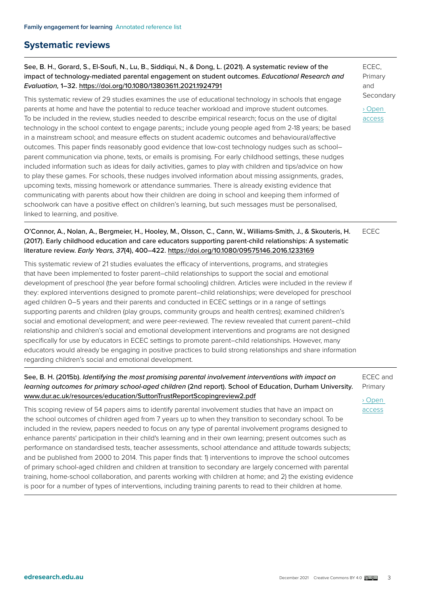# **Systematic reviews**

### See, B. H., Gorard, S., El-Soufi, N., Lu, B., Siddiqui, N., & Dong, L. (2021). A systematic review of the impact of technology-mediated parental engagement on student outcomes. *Educational Research and Evaluation,* 1–32. <https://doi.org/10.1080/13803611.2021.1924791>

This systematic review of 29 studies examines the use of educational technology in schools that engage parents at home and have the potential to reduce teacher workload and improve student outcomes. To be included in the review, studies needed to describe empirical research; focus on the use of digital technology in the school context to engage parents;; include young people aged from 2-18 years; be based in a mainstream school; and measure effects on student academic outcomes and behavioural/affective outcomes. This paper finds reasonably good evidence that low-cost technology nudges such as school– parent communication via phone, texts, or emails is promising. For early childhood settings, these nudges included information such as ideas for daily activities, games to play with children and tips/advice on how to play these games. For schools, these nudges involved information about missing assignments, grades, upcoming texts, missing homework or attendance summaries. There is already existing evidence that communicating with parents about how their children are doing in school and keeping them informed of schoolwork can have a positive effect on children's learning, but such messages must be personalised, linked to learning, and positive.

ECEC, Primary and Secondary › [Open](https://www.tandfonline.com/doi/full/10.1080/13803611.2021.1924791)  [access](https://www.tandfonline.com/doi/full/10.1080/13803611.2021.1924791)

#### O'Connor, A., Nolan, A., Bergmeier, H., Hooley, M., Olsson, C., Cann, W., Williams-Smith, J., & Skouteris, H. ECEC (2017). Early childhood education and care educators supporting parent-child relationships: A systematic literature review. *Early Years, 37*(4), 400–422. <https://doi.org/10.1080/09575146.2016.1233169>

This systematic review of 21 studies evaluates the efficacy of interventions, programs, and strategies that have been implemented to foster parent–child relationships to support the social and emotional development of preschool (the year before formal schooling) children. Articles were included in the review if they: explored interventions designed to promote parent–child relationships; were developed for preschool aged children 0–5 years and their parents and conducted in ECEC settings or in a range of settings supporting parents and children (play groups, community groups and health centres); examined children's social and emotional development; and were peer-reviewed. The review revealed that current parent–child relationship and children's social and emotional development interventions and programs are not designed specifically for use by educators in ECEC settings to promote parent–child relationships. However, many educators would already be engaging in positive practices to build strong relationships and share information regarding children's social and emotional development.

## See, B. H. (2015b). *Identifying the most promising parental involvement interventions with impact on learning outcomes for primary school-aged children* (2nd report). School of Education, Durham University. [www.dur.ac.uk/resources/education/SuttonTrustReportScopingreview2.pdf](http://www.dur.ac.uk/resources/education/SuttonTrustReportScopingreview2.pdf)

This scoping review of 54 papers aims to identify parental involvement studies that have an impact on the school outcomes of children aged from 7 years up to when they transition to secondary school. To be included in the review, papers needed to focus on any type of parental involvement programs designed to enhance parents' participation in their child's learning and in their own learning; present outcomes such as performance on standardised tests, teacher assessments, school attendance and attitude towards subjects; and be published from 2000 to 2014. This paper finds that: 1) interventions to improve the school outcomes of primary school-aged children and children at transition to secondary are largely concerned with parental training, home-school collaboration, and parents working with children at home; and 2) the existing evidence is poor for a number of types of interventions, including training parents to read to their children at home.

ECEC and Primary › [Open](http://www.dur.ac.uk/resources/education/SuttonTrustReportScopingreview2.pdf) 

[access](http://www.dur.ac.uk/resources/education/SuttonTrustReportScopingreview2.pdf)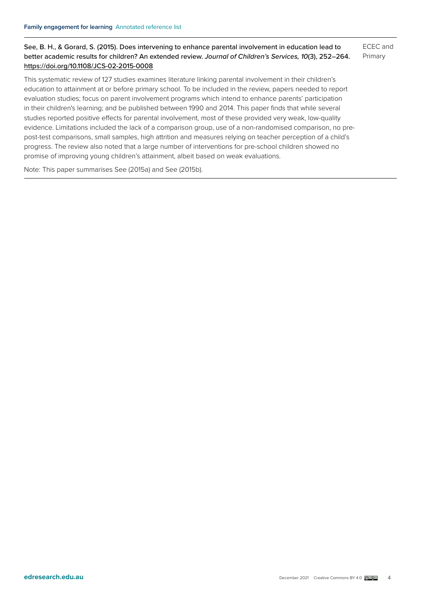See, B. H., & Gorard, S. (2015). Does intervening to enhance parental involvement in education lead to better academic results for children? An extended review. *Journal of Children's Services, 10*(3), 252–264. <https://doi.org/10.1108/JCS-02-2015-0008> ECEC and Primary

This systematic review of 127 studies examines literature linking parental involvement in their children's education to attainment at or before primary school. To be included in the review, papers needed to report evaluation studies; focus on parent involvement programs which intend to enhance parents' participation in their children's learning; and be published between 1990 and 2014. This paper finds that while several studies reported positive effects for parental involvement, most of these provided very weak, low-quality evidence. Limitations included the lack of a comparison group, use of a non-randomised comparison, no prepost-test comparisons, small samples, high attrition and measures relying on teacher perception of a child's progress. The review also noted that a large number of interventions for pre-school children showed no promise of improving young children's attainment, albeit based on weak evaluations.

Note: This paper summarises See (2015a) and See (2015b).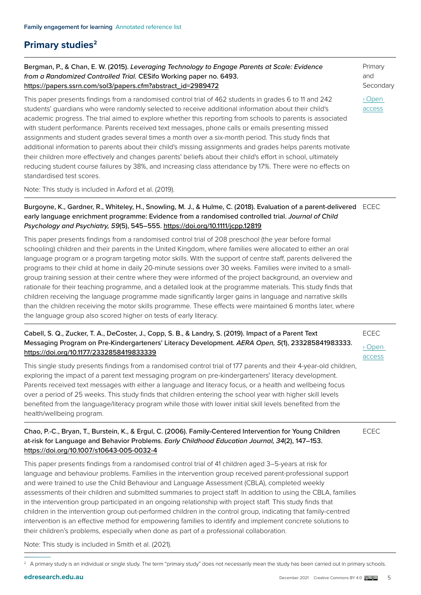# **Primary studies<sup>2</sup>**

### Bergman, P., & Chan, E. W. (2015). *Leveraging Technology to Engage Parents at Scale: Evidence from a Randomized Controlled Trial.* CESifo Working paper no. 6493. [https://papers.ssrn.com/sol3/papers.cfm?abstract\\_id=2989472](https://papers.ssrn.com/sol3/papers.cfm?abstract_id=2989472)

This paper presents findings from a randomised control trial of 462 students in grades 6 to 11 and 242 students' guardians who were randomly selected to receive additional information about their child's academic progress. The trial aimed to explore whether this reporting from schools to parents is associated with student performance. Parents received text messages, phone calls or emails presenting missed assignments and student grades several times a month over a six-month period. This study finds that additional information to parents about their child's missing assignments and grades helps parents motivate their children more effectively and changes parents' beliefs about their child's effort in school, ultimately reducing student course failures by 38%, and increasing class attendance by 17%. There were no effects on standardised test scores.

Note: This study is included in Axford et al. (2019).

#### Burgoyne, K., Gardner, R., Whiteley, H., Snowling, M. J., & Hulme, C. (2018). Evaluation of a parent-delivered ECEC early language enrichment programme: Evidence from a randomised controlled trial. *Journal of Child Psychology and Psychiatry, 59*(5), 545–555. <https://doi.org/10.1111/jcpp.12819>

This paper presents findings from a randomised control trial of 208 preschool (the year before formal schooling) children and their parents in the United Kingdom, where families were allocated to either an oral language program or a program targeting motor skills. With the support of centre staff, parents delivered the programs to their child at home in daily 20-minute sessions over 30 weeks. Families were invited to a smallgroup training session at their centre where they were informed of the project background, an overview and rationale for their teaching programme, and a detailed look at the programme materials. This study finds that children receiving the language programme made significantly larger gains in language and narrative skills than the children receiving the motor skills programme. These effects were maintained 6 months later, where the language group also scored higher on tests of early literacy.

#### Cabell, S. Q., Zucker, T. A., DeCoster, J., Copp, S. B., & Landry, S. (2019). Impact of a Parent Text Messaging Program on Pre-Kindergarteners' Literacy Development. *AERA Open, 5*(1), 233285841983333. <https://doi.org/10.1177/2332858419833339>

This single study presents findings from a randomised control trial of 177 parents and their 4-year-old children, exploring the impact of a parent text messaging program on pre-kindergarteners' literacy development. Parents received text messages with either a language and literacy focus, or a health and wellbeing focus over a period of 25 weeks. This study finds that children entering the school year with higher skill levels benefited from the language/literacy program while those with lower initial skill levels benefited from the health/wellbeing program.

#### Chao, P.-C., Bryan, T., Burstein, K., & Ergul, C. (2006). Family-Centered Intervention for Young Children at-risk for Language and Behavior Problems. *Early Childhood Education Journal, 34*(2), 147–153. <https://doi.org/10.1007/s10643-005-0032-4>

ECEC

ECEC › [Open](https://journals.sagepub.com/doi/10.1177/2332858419833339)  [access](https://journals.sagepub.com/doi/10.1177/2332858419833339)

Primary and Secondary

› [Open](https://papers.ssrn.com/sol3/papers.cfm?abstract_id=2989472)  [access](https://papers.ssrn.com/sol3/papers.cfm?abstract_id=2989472)

This paper presents findings from a randomised control trial of 41 children aged 3–5-years at risk for language and behaviour problems. Families in the intervention group received parent-professional support and were trained to use the Child Behaviour and Language Assessment (CBLA), completed weekly assessments of their children and submitted summaries to project staff. In addition to using the CBLA, families in the intervention group participated in an ongoing relationship with project staff. This study finds that children in the intervention group out-performed children in the control group, indicating that family-centred intervention is an effective method for empowering families to identify and implement concrete solutions to their children's problems, especially when done as part of a professional collaboration.

Note: This study is included in Smith et al. (2021).

 $^2$  A primary study is an individual or single study. The term "primary study" does not necessarily mean the study has been carried out in primary schools.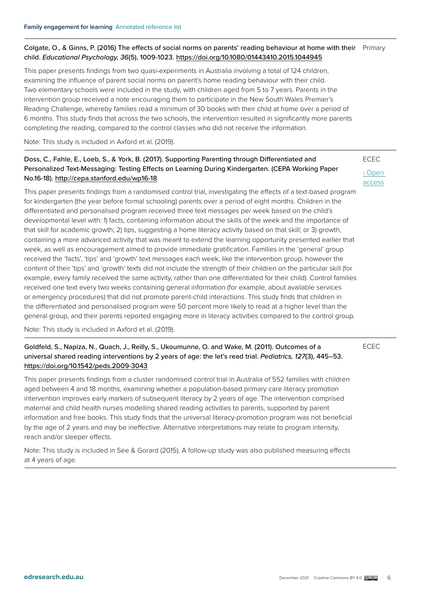#### Colgate, O., & Ginns, P. (2016) The effects of social norms on parents' reading behaviour at home with their Primary child. *Educational Psychology, 36*(5), 1009-1023.<https://doi.org/10.1080/01443410.2015.1044945>

This paper presents findings from two quasi-experiments in Australia involving a total of 124 children, examining the influence of parent social norms on parent's home reading behaviour with their child. Two elementary schools were included in the study, with children aged from 5 to 7 years. Parents in the intervention group received a note encouraging them to participate in the New South Wales Premier's Reading Challenge, whereby families read a minimum of 30 books with their child at home over a period of 6 months. This study finds that across the two schools, the intervention resulted in significantly more parents completing the reading, compared to the control classes who did not receive the information.

Note: This study is included in Axford et al. (2019).

### Doss, C., Fahle, E., Loeb, S., & York, B. (2017). Supporting Parenting through Differentiated and Personalized Text-Messaging: Testing Effects on Learning During Kindergarten. (CEPA Working Paper No.16-18).<http://cepa.stanford.edu/wp16-18>

This paper presents findings from a randomised control trial, investigating the effects of a text-based program for kindergarten (the year before formal schooling) parents over a period of eight months. Children in the differentiated and personalised program received three text messages per week based on the child's developmental level with: 1) facts, containing information about the skills of the week and the importance of that skill for academic growth; 2) tips, suggesting a home literacy activity based on that skill; or 3) growth, containing a more advanced activity that was meant to extend the learning opportunity presented earlier that week, as well as encouragement aimed to provide immediate gratification. Families in the 'general' group received the 'facts', 'tips' and 'growth' text messages each week, like the intervention group, however the content of their 'tips' and 'growth' texts did not include the strength of their children on the particular skill (for example, every family received the same activity, rather than one differentiated for their child). Control families received one text every two weeks containing general information (for example, about available services or emergency procedures) that did not promote parent-child interactions. This study finds that children in the differentiated and personalised program were 50 percent more likely to read at a higher level than the general group, and their parents reported engaging more in literacy activities compared to the control group.

Note: This study is included in Axford et al. (2019).

#### Goldfeld, S., Napiza, N., Quach, J., Reilly, S., Ukoumunne, O. and Wake, M. (2011). Outcomes of a universal shared reading interventions by 2 years of age: the let's read trial. *Pediatrics, 127*(3), 445–53. <https://doi.org/10.1542/peds.2009-3043>

This paper presents findings from a cluster randomised control trial in Australia of 552 families with children aged between 4 and 18 months, examining whether a population-based primary care literacy promotion intervention improves early markers of subsequent literacy by 2 years of age. The intervention comprised maternal and child health nurses modelling shared reading activities to parents, supported by parent information and free books. This study finds that the universal literacy-promotion program was not beneficial by the age of 2 years and may be ineffective. Alternative interpretations may relate to program intensity, reach and/or sleeper effects.

Note: This study is included in See & Gorard (2015). A follow-up study was also published measuring effects at 4 years of age.

ECEC › [Open](https://cepa.stanford.edu/content/supporting-parenting-through-differentiated-and-personalized-text-messaging-testing-effects-learning-during-kindergarten) 

[access](https://cepa.stanford.edu/content/supporting-parenting-through-differentiated-and-personalized-text-messaging-testing-effects-learning-during-kindergarten)

ECEC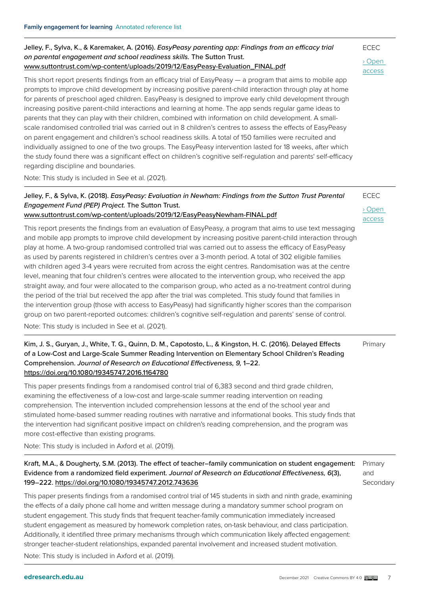#### Jelley, F., Sylva, K., & Karemaker, A. (2016). *EasyPeasy parenting app: Findings from an efficacy trial on parental engagement and school readiness skills.* The Sutton Trust. [www.suttontrust.com/wp-content/uploads/2019/12/EasyPeasy-Evaluation\\_FINAL.pdf](http://www.suttontrust.com/wp-content/uploads/2019/12/EasyPeasy-Evaluation_FINAL.pdf)

This short report presents findings from an efficacy trial of EasyPeasy — a program that aims to mobile app prompts to improve child development by increasing positive parent-child interaction through play at home for parents of preschool aged children. EasyPeasy is designed to improve early child development through increasing positive parent-child interactions and learning at home. The app sends regular game ideas to parents that they can play with their children, combined with information on child development. A smallscale randomised controlled trial was carried out in 8 children's centres to assess the effects of EasyPeasy on parent engagement and children's school readiness skills. A total of 150 families were recruited and individually assigned to one of the two groups. The EasyPeasy intervention lasted for 18 weeks, after which the study found there was a significant effect on children's cognitive self-regulation and parents' self-efficacy regarding discipline and boundaries.

Note: This study is included in See et al. (2021).

#### Jelley, F., & Sylva, K. (2018). *EasyPeasy: Evaluation in Newham: Findings from the Sutton Trust Parental Engagement Fund (PEP) Project.* The Sutton Trust. [www.suttontrust.com/wp-content/uploads/2019/12/EasyPeasyNewham-FINAL.pdf](http://www.suttontrust.com/wp-content/uploads/2019/12/EasyPeasyNewham-FINAL.pdf)  ECEC › [Open](https://www.suttontrust.com/wp-content/uploads/2019/12/EasyPeasyNewham-FINAL.pdf)  [access](https://www.suttontrust.com/wp-content/uploads/2019/12/EasyPeasyNewham-FINAL.pdf)

This report presents the findings from an evaluation of EasyPeasy, a program that aims to use text messaging and mobile app prompts to improve child development by increasing positive parent-child interaction through play at home. A two-group randomised controlled trial was carried out to assess the efficacy of EasyPeasy as used by parents registered in children's centres over a 3-month period. A total of 302 eligible families with children aged 3-4 years were recruited from across the eight centres. Randomisation was at the centre level, meaning that four children's centres were allocated to the intervention group, who received the app straight away, and four were allocated to the comparison group, who acted as a no-treatment control during the period of the trial but received the app after the trial was completed. This study found that families in the intervention group (those with access to EasyPeasy) had significantly higher scores than the comparison group on two parent-reported outcomes: children's cognitive self-regulation and parents' sense of control.

Note: This study is included in See et al. (2021).

#### Kim, J. S., Guryan, J., White, T. G., Quinn, D. M., Capotosto, L., & Kingston, H. C. (2016). Delayed Effects of a Low-Cost and Large-Scale Summer Reading Intervention on Elementary School Children's Reading Comprehension. *Journal of Research on Educational Effectiveness, 9,* 1–22. <https://doi.org/10.1080/19345747.2016.1164780> Primary

This paper presents findings from a randomised control trial of 6,383 second and third grade children, examining the effectiveness of a low-cost and large-scale summer reading intervention on reading comprehension. The intervention included comprehension lessons at the end of the school year and stimulated home-based summer reading routines with narrative and informational books. This study finds that the intervention had significant positive impact on children's reading comprehension, and the program was more cost-effective than existing programs.

Note: This study is included in Axford et al. (2019).

#### Kraft, M.A., & Dougherty, S.M. (2013). The effect of teacher–family communication on student engagement: Evidence from a randomized field experiment. *Journal of Research on Educational Effectiveness, 6*(3), 199–222.<https://doi.org/10.1080/19345747.2012.743636> Primary and **Secondary**

This paper presents findings from a randomised control trial of 145 students in sixth and ninth grade, examining the effects of a daily phone call home and written message during a mandatory summer school program on student engagement. This study finds that frequent teacher-family communication immediately increased student engagement as measured by homework completion rates, on-task behaviour, and class participation. Additionally, it identified three primary mechanisms through which communication likely affected engagement: stronger teacher-student relationships, expanded parental involvement and increased student motivation.

Note: This study is included in Axford et al. (2019).

ECEC

› [Open](https://www.suttontrust.com/wp-content/uploads/2019/12/EasyPeasy-Evaluation_FINAL.pdf)  [access](https://www.suttontrust.com/wp-content/uploads/2019/12/EasyPeasy-Evaluation_FINAL.pdf)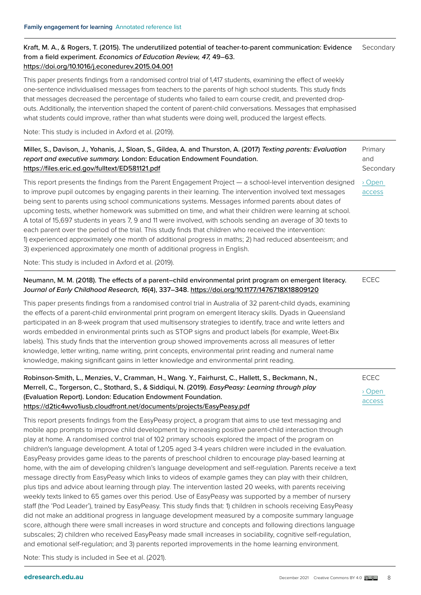#### Kraft, M. A., & Rogers, T. (2015). The underutilized potential of teacher-to-parent communication: Evidence from a field experiment. *Economics of Education Review, 47,* 49–63. <https://doi.org/10.1016/j.econedurev.2015.04.001> Secondary

This paper presents findings from a randomised control trial of 1,417 students, examining the effect of weekly one-sentence individualised messages from teachers to the parents of high school students. This study finds that messages decreased the percentage of students who failed to earn course credit, and prevented dropouts. Additionally, the intervention shaped the content of parent-child conversations. Messages that emphasised what students could improve, rather than what students were doing well, produced the largest effects.

Note: This study is included in Axford et al. (2019).

#### Miller, S., Davison, J., Yohanis, J., Sloan, S., Gildea, A. and Thurston, A. (2017) *Texting parents: Evaluation report and executive summary.* London: Education Endowment Foundation. <https://files.eric.ed.gov/fulltext/ED581121.pdf> Primary and Secondary

This report presents the findings from the Parent Engagement Project — a school-level intervention designed to improve pupil outcomes by engaging parents in their learning. The intervention involved text messages being sent to parents using school communications systems. Messages informed parents about dates of upcoming tests, whether homework was submitted on time, and what their children were learning at school. A total of 15,697 students in years 7, 9 and 11 were involved, with schools sending an average of 30 texts to each parent over the period of the trial. This study finds that children who received the intervention: 1) experienced approximately one month of additional progress in maths; 2) had reduced absenteeism; and 3) experienced approximately one month of additional progress in English. › [Open](https://files.eric.ed.gov/fulltext/ED581121.pdf)  [access](https://files.eric.ed.gov/fulltext/ED581121.pdf)

Note: This study is included in Axford et al. (2019).

#### Neumann, M. M. (2018). The effects of a parent–child environmental print program on emergent literacy. J*ournal of Early Childhood Research, 16*(4), 337–348. <https://doi.org/10.1177/1476718X18809120>

This paper presents findings from a randomised control trial in Australia of 32 parent-child dyads, examining the effects of a parent-child environmental print program on emergent literacy skills. Dyads in Queensland participated in an 8-week program that used multisensory strategies to identify, trace and write letters and words embedded in environmental prints such as STOP signs and product labels (for example, Weet-Bix labels). This study finds that the intervention group showed improvements across all measures of letter knowledge, letter writing, name writing, print concepts, environmental print reading and numeral name knowledge, making significant gains in letter knowledge and environmental print reading.

| Robinson-Smith, L., Menzies, V., Cramman, H., Wang, Y., Fairhurst, C., Hallett, S., Beckmann, N., | <b>ECEC</b> |
|---------------------------------------------------------------------------------------------------|-------------|
| Merrell, C., Torgerson, C., Stothard, S., & Siddiqui, N. (2019). EasyPeasy: Learning through play | > Open      |
| (Evaluation Report). London: Education Endowment Foundation.                                      | access      |
| https://d2tic4wvo1iusb.cloudfront.net/documents/projects/EasyPeasy.pdf                            |             |

This report presents findings from the EasyPeasy project, a program that aims to use text messaging and mobile app prompts to improve child development by increasing positive parent-child interaction through play at home. A randomised control trial of 102 primary schools explored the impact of the program on children's language development. A total of 1,205 aged 3-4 years children were included in the evaluation. EasyPeasy provides game ideas to the parents of preschool children to encourage play-based learning at home, with the aim of developing children's language development and self-regulation. Parents receive a text message directly from EasyPeasy which links to videos of example games they can play with their children, plus tips and advice about learning through play. The intervention lasted 20 weeks, with parents receiving weekly texts linked to 65 games over this period. Use of EasyPeasy was supported by a member of nursery staff (the 'Pod Leader'), trained by EasyPeasy. This study finds that: 1) children in schools receiving EasyPeasy did not make an additional progress in language development measured by a composite summary language score, although there were small increases in word structure and concepts and following directions language subscales; 2) children who received EasyPeasy made small increases in sociability, cognitive self-regulation, and emotional self-regulation; and 3) parents reported improvements in the home learning environment.

Note: This study is included in See et al. (2021).

ECEC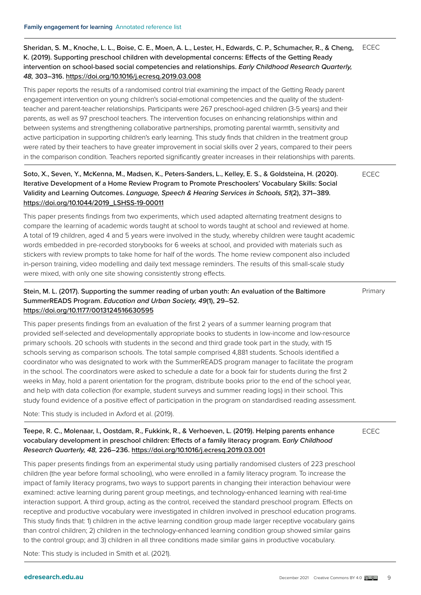Sheridan, S. M., Knoche, L. L., Boise, C. E., Moen, A. L., Lester, H., Edwards, C. P., Schumacher, R., & Cheng, K. (2019). Supporting preschool children with developmental concerns: Effects of the Getting Ready intervention on school-based social competencies and relationships. *Early Childhood Research Quarterly, 48,* 303–316.<https://doi.org/10.1016/j.ecresq.2019.03.008> ECEC

This paper reports the results of a randomised control trial examining the impact of the Getting Ready parent engagement intervention on young children's social-emotional competencies and the quality of the studentteacher and parent-teacher relationships. Participants were 267 preschool-aged children (3-5 years) and their parents, as well as 97 preschool teachers. The intervention focuses on enhancing relationships within and between systems and strengthening collaborative partnerships, promoting parental warmth, sensitivity and active participation in supporting children's early learning. This study finds that children in the treatment group were rated by their teachers to have greater improvement in social skills over 2 years, compared to their peers in the comparison condition. Teachers reported significantly greater increases in their relationships with parents.

Soto, X., Seven, Y., McKenna, M., Madsen, K., Peters-Sanders, L., Kelley, E. S., & Goldsteina, H. (2020). Iterative Development of a Home Review Program to Promote Preschoolers' Vocabulary Skills: Social Validity and Learning Outcomes. *Language, Speech & Hearing Services in Schools, 51*(2), 371–389. [https://doi.org/10.1044/2019\\_LSHSS-19-00011](https://doi.org/10.1044/2019_LSHSS-19-00011)

ECEC

Primary

This paper presents findings from two experiments, which used adapted alternating treatment designs to compare the learning of academic words taught at school to words taught at school and reviewed at home. A total of 19 children, aged 4 and 5 years were involved in the study, whereby children were taught academic words embedded in pre-recorded storybooks for 6 weeks at school, and provided with materials such as stickers with review prompts to take home for half of the words. The home review component also included in-person training, video modelling and daily text message reminders. The results of this small-scale study were mixed, with only one site showing consistently strong effects.

#### Stein, M. L. (2017). Supporting the summer reading of urban youth: An evaluation of the Baltimore SummerREADS Program. *Education and Urban Society, 49*(1), 29–52. <https://doi.org/10.1177/0013124516630595>

This paper presents findings from an evaluation of the first 2 years of a summer learning program that provided self-selected and developmentally appropriate books to students in low-income and low-resource primary schools. 20 schools with students in the second and third grade took part in the study, with 15 schools serving as comparison schools. The total sample comprised 4,881 students. Schools identified a coordinator who was designated to work with the SummerREADS program manager to facilitate the program

in the school. The coordinators were asked to schedule a date for a book fair for students during the first 2 weeks in May, hold a parent orientation for the program, distribute books prior to the end of the school year, and help with data collection (for example, student surveys and summer reading logs) in their school. This study found evidence of a positive effect of participation in the program on standardised reading assessment.

Note: This study is included in Axford et al. (2019).

#### Teepe, R. C., Molenaar, I., Oostdam, R., Fukkink, R., & Verhoeven, L. (2019). Helping parents enhance vocabulary development in preschool children: Effects of a family literacy program. E*arly Childhood Research Quarterly, 48,* 226–236.<https://doi.org/10.1016/j.ecresq.2019.03.001>

ECEC

This paper presents findings from an experimental study using partially randomised clusters of 223 preschool children (the year before formal schooling), who were enrolled in a family literacy program. To increase the impact of family literacy programs, two ways to support parents in changing their interaction behaviour were examined: active learning during parent group meetings, and technology-enhanced learning with real-time interaction support. A third group, acting as the control, received the standard preschool program. Effects on receptive and productive vocabulary were investigated in children involved in preschool education programs. This study finds that: 1) children in the active learning condition group made larger receptive vocabulary gains than control children; 2) children in the technology-enhanced learning condition group showed similar gains to the control group; and 3) children in all three conditions made similar gains in productive vocabulary.

Note: This study is included in Smith et al. (2021).